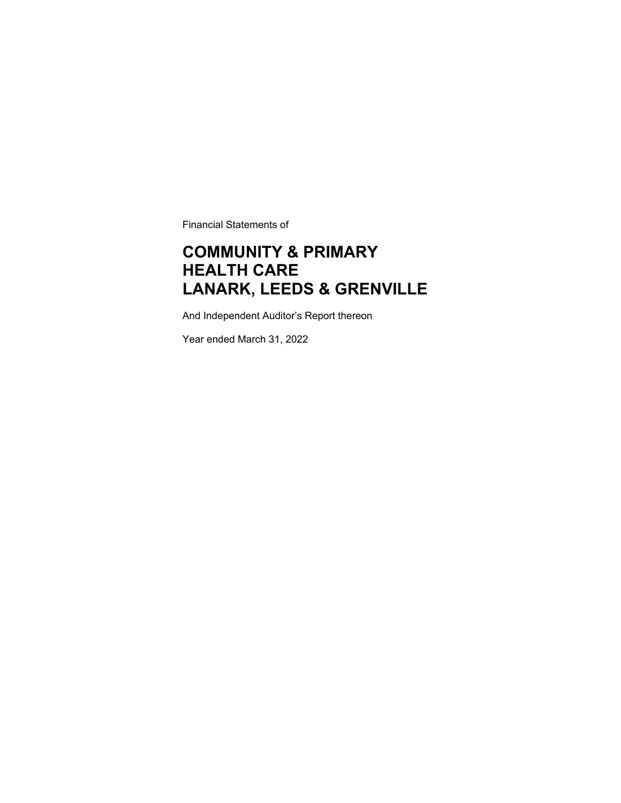Financial Statements of

### **COMMUNITY & PRIMARY HEALTH CARE LANARK, LEEDS & GRENVILLE**

And Independent Auditor's Report thereon

Year ended March 31, 2022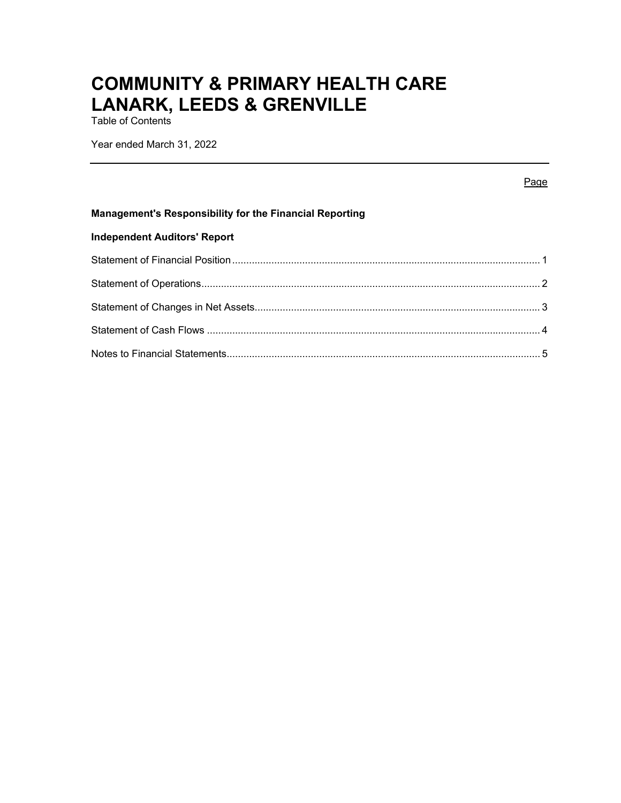Table of Contents

Year ended March 31, 2022

|--|

| Management's Responsibility for the Financial Reporting |  |
|---------------------------------------------------------|--|
| <b>Independent Auditors' Report</b>                     |  |
|                                                         |  |
|                                                         |  |
|                                                         |  |
|                                                         |  |
|                                                         |  |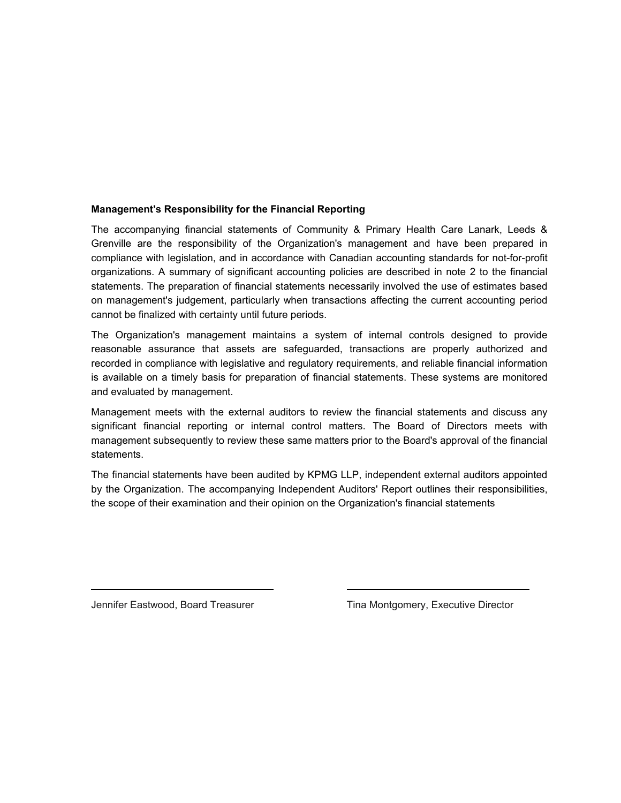#### **Management's Responsibility for the Financial Reporting**

The accompanying financial statements of Community & Primary Health Care Lanark, Leeds & Grenville are the responsibility of the Organization's management and have been prepared in compliance with legislation, and in accordance with Canadian accounting standards for not-for-profit organizations. A summary of significant accounting policies are described in note 2 to the financial statements. The preparation of financial statements necessarily involved the use of estimates based on management's judgement, particularly when transactions affecting the current accounting period cannot be finalized with certainty until future periods.

The Organization's management maintains a system of internal controls designed to provide reasonable assurance that assets are safeguarded, transactions are properly authorized and recorded in compliance with legislative and regulatory requirements, and reliable financial information is available on a timely basis for preparation of financial statements. These systems are monitored and evaluated by management.

Management meets with the external auditors to review the financial statements and discuss any significant financial reporting or internal control matters. The Board of Directors meets with management subsequently to review these same matters prior to the Board's approval of the financial statements.

The financial statements have been audited by KPMG LLP, independent external auditors appointed by the Organization. The accompanying Independent Auditors' Report outlines their responsibilities, the scope of their examination and their opinion on the Organization's financial statements

 $\overline{a}$ 

Jennifer Eastwood, Board Treasurer Tina Montgomery, Executive Director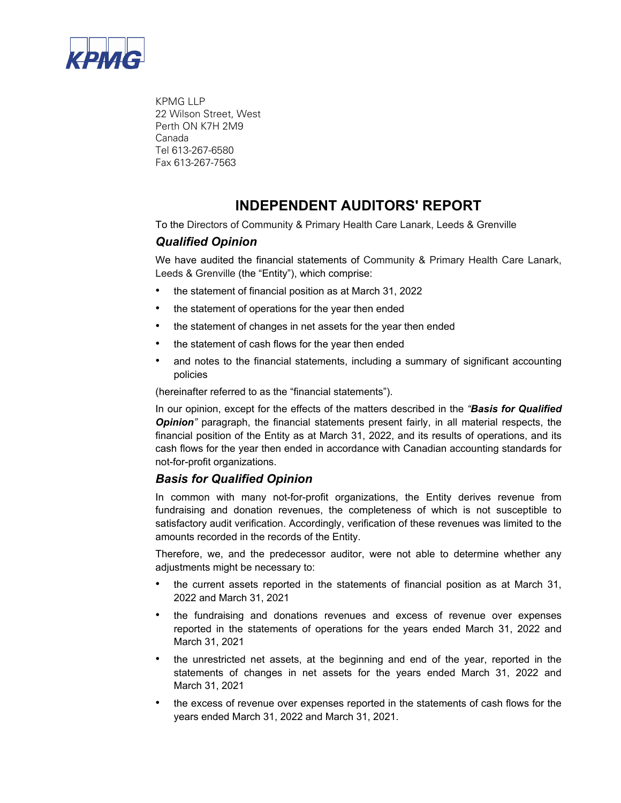

KPMG LLP 22 Wilson Street, West Perth ON K7H 2M9 Canada Tel 613-267-6580 Fax 613-267-7563

### **INDEPENDENT AUDITORS' REPORT**

To the Directors of Community & Primary Health Care Lanark, Leeds & Grenville

### *Qualified Opinion*

We have audited the financial statements of Community & Primary Health Care Lanark, Leeds & Grenville (the "Entity"), which comprise:

- the statement of financial position as at March 31, 2022
- the statement of operations for the year then ended
- the statement of changes in net assets for the year then ended
- the statement of cash flows for the year then ended
- and notes to the financial statements, including a summary of significant accounting policies

(hereinafter referred to as the "financial statements").

In our opinion, except for the effects of the matters described in the *"Basis for Qualified Opinion*<sup>"</sup> paragraph, the financial statements present fairly, in all material respects, the financial position of the Entity as at March 31, 2022, and its results of operations, and its cash flows for the year then ended in accordance with Canadian accounting standards for not-for-profit organizations.

### *Basis for Qualified Opinion*

In common with many not-for-profit organizations, the Entity derives revenue from fundraising and donation revenues, the completeness of which is not susceptible to satisfactory audit verification. Accordingly, verification of these revenues was limited to the amounts recorded in the records of the Entity.

Therefore, we, and the predecessor auditor, were not able to determine whether any adjustments might be necessary to:

- the current assets reported in the statements of financial position as at March 31, 2022 and March 31, 2021
- the fundraising and donations revenues and excess of revenue over expenses reported in the statements of operations for the years ended March 31, 2022 and March 31, 2021
- the unrestricted net assets, at the beginning and end of the year, reported in the statements of changes in net assets for the years ended March 31, 2022 and March 31, 2021
- the excess of revenue over expenses reported in the statements of cash flows for the years ended March 31, 2022 and March 31, 2021.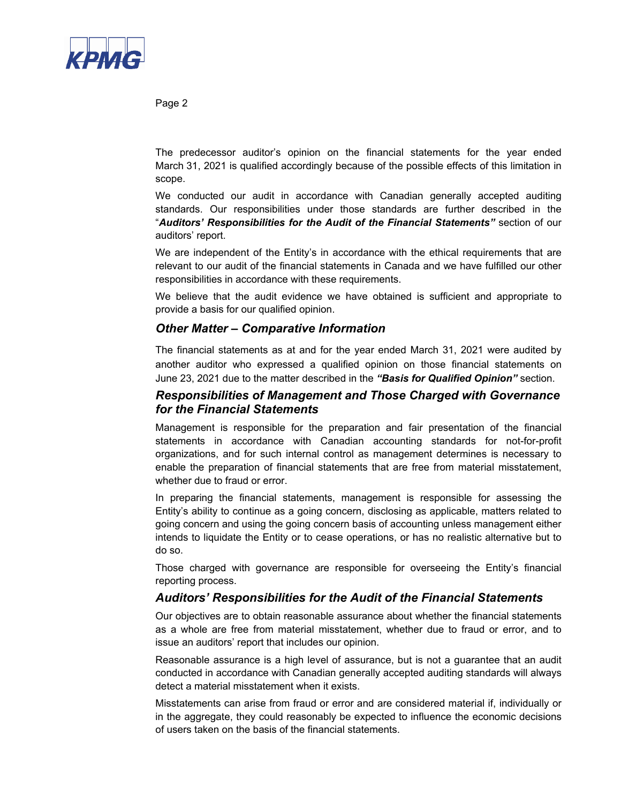

Page 2

The predecessor auditor's opinion on the financial statements for the year ended March 31, 2021 is qualified accordingly because of the possible effects of this limitation in scope.

We conducted our audit in accordance with Canadian generally accepted auditing standards. Our responsibilities under those standards are further described in the "*Auditors' Responsibilities for the Audit of the Financial Statements"* section of our auditors' report.

We are independent of the Entity's in accordance with the ethical requirements that are relevant to our audit of the financial statements in Canada and we have fulfilled our other responsibilities in accordance with these requirements.

We believe that the audit evidence we have obtained is sufficient and appropriate to provide a basis for our qualified opinion.

### *Other Matter – Comparative Information*

The financial statements as at and for the year ended March 31, 2021 were audited by another auditor who expressed a qualified opinion on those financial statements on June 23, 2021 due to the matter described in the *"Basis for Qualified Opinion"* section.

### *Responsibilities of Management and Those Charged with Governance for the Financial Statements*

Management is responsible for the preparation and fair presentation of the financial statements in accordance with Canadian accounting standards for not-for-profit organizations, and for such internal control as management determines is necessary to enable the preparation of financial statements that are free from material misstatement, whether due to fraud or error.

In preparing the financial statements, management is responsible for assessing the Entity's ability to continue as a going concern, disclosing as applicable, matters related to going concern and using the going concern basis of accounting unless management either intends to liquidate the Entity or to cease operations, or has no realistic alternative but to do so.

Those charged with governance are responsible for overseeing the Entity's financial reporting process.

### *Auditors' Responsibilities for the Audit of the Financial Statements*

Our objectives are to obtain reasonable assurance about whether the financial statements as a whole are free from material misstatement, whether due to fraud or error, and to issue an auditors' report that includes our opinion.

Reasonable assurance is a high level of assurance, but is not a guarantee that an audit conducted in accordance with Canadian generally accepted auditing standards will always detect a material misstatement when it exists.

Misstatements can arise from fraud or error and are considered material if, individually or in the aggregate, they could reasonably be expected to influence the economic decisions of users taken on the basis of the financial statements.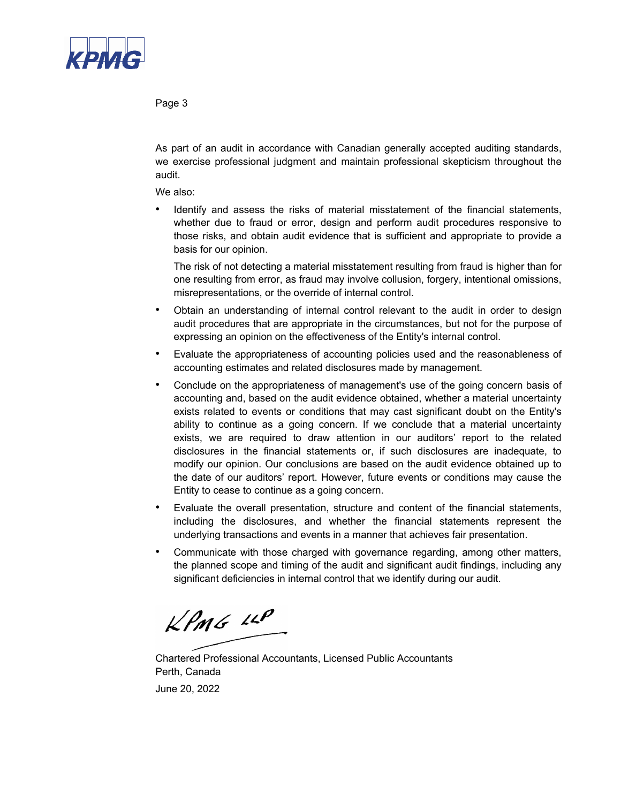

Page 3

As part of an audit in accordance with Canadian generally accepted auditing standards, we exercise professional judgment and maintain professional skepticism throughout the audit.

We also:

• Identify and assess the risks of material misstatement of the financial statements, whether due to fraud or error, design and perform audit procedures responsive to those risks, and obtain audit evidence that is sufficient and appropriate to provide a basis for our opinion.

The risk of not detecting a material misstatement resulting from fraud is higher than for one resulting from error, as fraud may involve collusion, forgery, intentional omissions, misrepresentations, or the override of internal control.

- Obtain an understanding of internal control relevant to the audit in order to design audit procedures that are appropriate in the circumstances, but not for the purpose of expressing an opinion on the effectiveness of the Entity's internal control.
- Evaluate the appropriateness of accounting policies used and the reasonableness of accounting estimates and related disclosures made by management.
- Conclude on the appropriateness of management's use of the going concern basis of accounting and, based on the audit evidence obtained, whether a material uncertainty exists related to events or conditions that may cast significant doubt on the Entity's ability to continue as a going concern. If we conclude that a material uncertainty exists, we are required to draw attention in our auditors' report to the related disclosures in the financial statements or, if such disclosures are inadequate, to modify our opinion. Our conclusions are based on the audit evidence obtained up to the date of our auditors' report. However, future events or conditions may cause the Entity to cease to continue as a going concern.
- Evaluate the overall presentation, structure and content of the financial statements, including the disclosures, and whether the financial statements represent the underlying transactions and events in a manner that achieves fair presentation.
- Communicate with those charged with governance regarding, among other matters, the planned scope and timing of the audit and significant audit findings, including any significant deficiencies in internal control that we identify during our audit.

 $KPMS$  11P

Chartered Professional Accountants, Licensed Public Accountants Perth, Canada June 20, 2022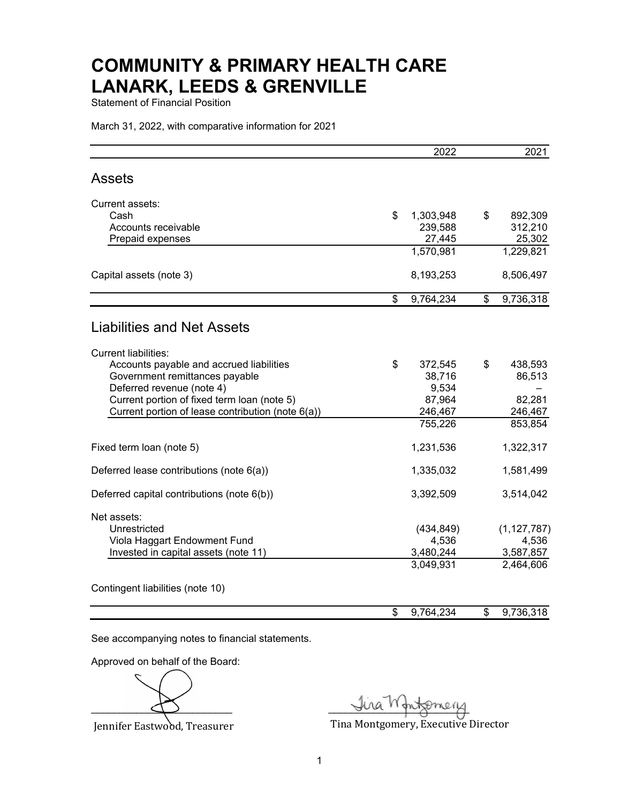Statement of Financial Position

March 31, 2022, with comparative information for 2021

|                                                   | 2022            | 2021            |
|---------------------------------------------------|-----------------|-----------------|
| <b>Assets</b>                                     |                 |                 |
| Current assets:                                   |                 |                 |
| Cash                                              | \$<br>1,303,948 | \$<br>892,309   |
| Accounts receivable                               | 239,588         | 312,210         |
| Prepaid expenses                                  | 27,445          | 25,302          |
|                                                   | 1,570,981       | 1,229,821       |
| Capital assets (note 3)                           | 8,193,253       | 8,506,497       |
|                                                   | \$<br>9,764,234 | \$<br>9,736,318 |
| <b>Liabilities and Net Assets</b>                 |                 |                 |
|                                                   |                 |                 |
| <b>Current liabilities:</b>                       |                 |                 |
| Accounts payable and accrued liabilities          | \$<br>372,545   | \$<br>438,593   |
| Government remittances payable                    | 38,716          | 86,513          |
| Deferred revenue (note 4)                         | 9,534           |                 |
| Current portion of fixed term loan (note 5)       | 87,964          | 82,281          |
| Current portion of lease contribution (note 6(a)) | 246,467         | 246,467         |
|                                                   | 755,226         | 853,854         |
| Fixed term loan (note 5)                          | 1,231,536       | 1,322,317       |
| Deferred lease contributions (note 6(a))          | 1,335,032       | 1,581,499       |
| Deferred capital contributions (note 6(b))        | 3,392,509       | 3,514,042       |
| Net assets:                                       |                 |                 |
| Unrestricted                                      | (434, 849)      | (1, 127, 787)   |
| Viola Haggart Endowment Fund                      | 4,536           | 4,536           |
| Invested in capital assets (note 11)              | 3,480,244       | 3,587,857       |
|                                                   | 3,049,931       | 2,464,606       |
| Contingent liabilities (note 10)                  |                 |                 |
|                                                   | \$<br>9,764,234 | \$<br>9,736,318 |

See accompanying notes to financial statements.

Approved on behalf of the Board:

 $\bigoplus$   $\bigoplus$   $\bigoplus$   $\bigoplus$   $\bigoplus$   $\bigoplus$   $\bigoplus$   $\bigoplus$   $\bigoplus$   $\bigoplus$   $\bigoplus$   $\bigoplus$   $\bigoplus$   $\bigoplus$   $\bigoplus$   $\bigoplus$   $\bigoplus$   $\bigoplus$   $\bigoplus$   $\bigoplus$   $\bigoplus$   $\bigoplus$   $\bigoplus$   $\bigoplus$   $\bigoplus$   $\bigoplus$   $\bigoplus$   $\bigoplus$   $\bigoplus$   $\bigoplus$   $\bigoplus$   $\bigopl$ 

Jennifer Eastwood, Treasurer Tina Montgomery, Executive Director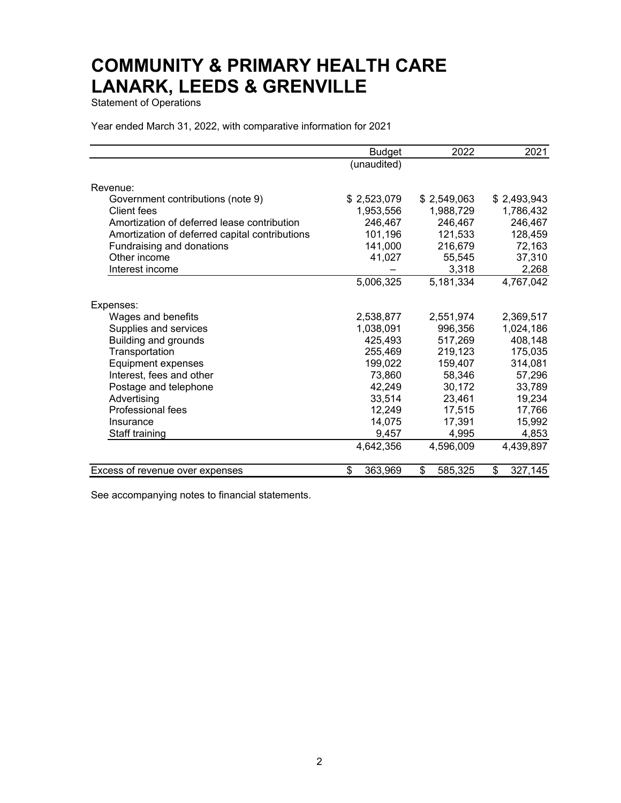Statement of Operations

Year ended March 31, 2022, with comparative information for 2021

|                                                | <b>Budget</b> | 2022          | 2021          |
|------------------------------------------------|---------------|---------------|---------------|
|                                                | (unaudited)   |               |               |
| Revenue:                                       |               |               |               |
| Government contributions (note 9)              | \$2,523,079   | \$2,549,063   | \$2,493,943   |
| <b>Client fees</b>                             | 1,953,556     | 1.988.729     | 1,786,432     |
| Amortization of deferred lease contribution    | 246,467       | 246,467       | 246,467       |
| Amortization of deferred capital contributions | 101,196       | 121,533       | 128,459       |
| Fundraising and donations                      | 141,000       | 216,679       | 72,163        |
| Other income                                   | 41,027        | 55,545        | 37,310        |
| Interest income                                |               | 3,318         | 2,268         |
|                                                | 5,006,325     | 5,181,334     | 4,767,042     |
| Expenses:                                      |               |               |               |
| Wages and benefits                             | 2,538,877     | 2,551,974     | 2,369,517     |
| Supplies and services                          | 1,038,091     | 996,356       | 1,024,186     |
| Building and grounds                           | 425,493       | 517,269       | 408,148       |
| Transportation                                 | 255,469       | 219,123       | 175,035       |
| <b>Equipment expenses</b>                      | 199,022       | 159,407       | 314,081       |
| Interest, fees and other                       | 73,860        | 58,346        | 57,296        |
| Postage and telephone                          | 42,249        | 30,172        | 33,789        |
| Advertising                                    | 33,514        | 23,461        | 19,234        |
| <b>Professional fees</b>                       | 12,249        | 17,515        | 17,766        |
| Insurance                                      | 14,075        | 17,391        | 15,992        |
| Staff training                                 | 9,457         | 4,995         | 4,853         |
|                                                | 4,642,356     | 4,596,009     | 4,439,897     |
| Excess of revenue over expenses                | \$<br>363,969 | \$<br>585,325 | \$<br>327,145 |

See accompanying notes to financial statements.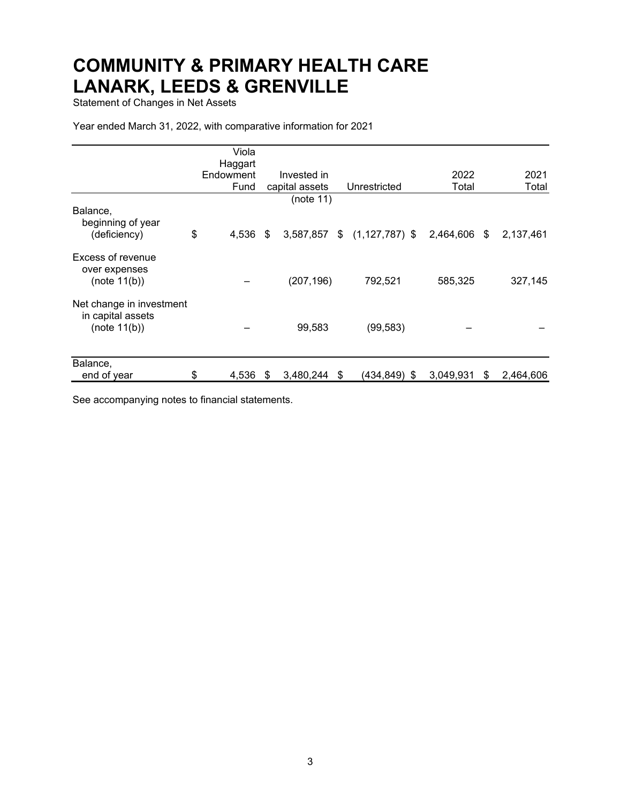Statement of Changes in Net Assets

#### Year ended March 31, 2022, with comparative information for 2021

|                                                               | Viola<br>Haggart |                |                   |                   |           |
|---------------------------------------------------------------|------------------|----------------|-------------------|-------------------|-----------|
|                                                               | Endowment        | Invested in    |                   | 2022              | 2021      |
|                                                               | Fund             | capital assets | Unrestricted      | Total             | Total     |
|                                                               |                  | (note 11)      |                   |                   |           |
| Balance,<br>beginning of year<br>(deficiency)                 | \$<br>4,536 \$   | 3,587,857      | \$(1,127,787)     | 2,464,606<br>- \$ | 2,137,461 |
| Excess of revenue<br>over expenses<br>(note 11(b))            |                  | (207, 196)     | 792,521           | 585,325           | 327,145   |
| Net change in investment<br>in capital assets<br>(note 11(b)) |                  | 99,583         | (99, 583)         |                   |           |
| Balance,<br>end of year                                       | 4,536<br>\$      | 3,480,244<br>S | (434,849) \$<br>S | 3,049,931<br>S    | 2,464,606 |

See accompanying notes to financial statements.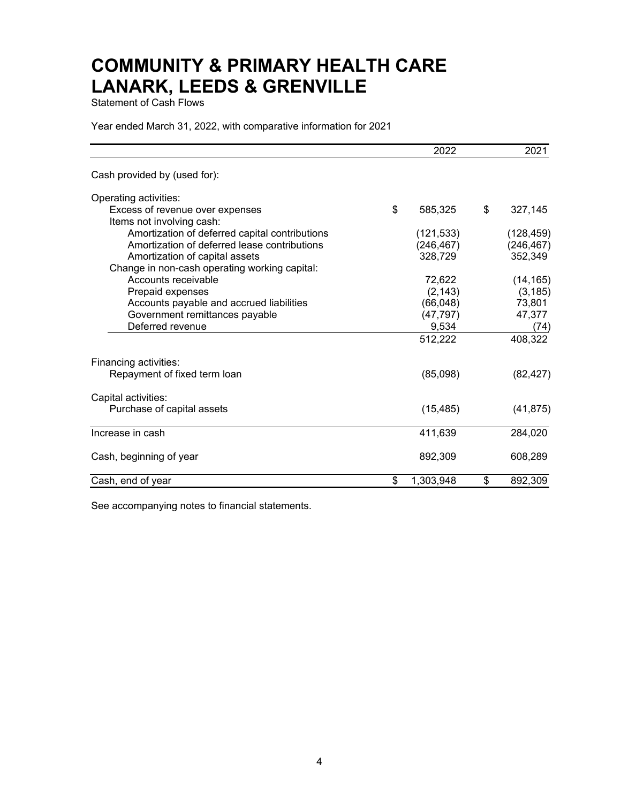Statement of Cash Flows

Year ended March 31, 2022, with comparative information for 2021

|                                                | 2022            | 2021          |
|------------------------------------------------|-----------------|---------------|
| Cash provided by (used for):                   |                 |               |
| Operating activities:                          |                 |               |
| Excess of revenue over expenses                | \$<br>585,325   | \$<br>327,145 |
| Items not involving cash:                      |                 |               |
| Amortization of deferred capital contributions | (121, 533)      | (128, 459)    |
| Amortization of deferred lease contributions   | (246, 467)      | (246,467)     |
| Amortization of capital assets                 | 328,729         | 352,349       |
| Change in non-cash operating working capital:  |                 |               |
| Accounts receivable                            | 72,622          | (14, 165)     |
| Prepaid expenses                               | (2, 143)        | (3, 185)      |
| Accounts payable and accrued liabilities       | (66, 048)       | 73,801        |
| Government remittances payable                 | (47, 797)       | 47,377        |
| Deferred revenue                               | 9,534           | (74)          |
|                                                | 512,222         | 408,322       |
| Financing activities:                          |                 |               |
| Repayment of fixed term loan                   | (85,098)        | (82, 427)     |
| Capital activities:                            |                 |               |
| Purchase of capital assets                     | (15, 485)       | (41, 875)     |
| Increase in cash                               | 411,639         | 284,020       |
| Cash, beginning of year                        | 892,309         | 608,289       |
| Cash, end of year                              | \$<br>1,303,948 | \$<br>892,309 |

See accompanying notes to financial statements.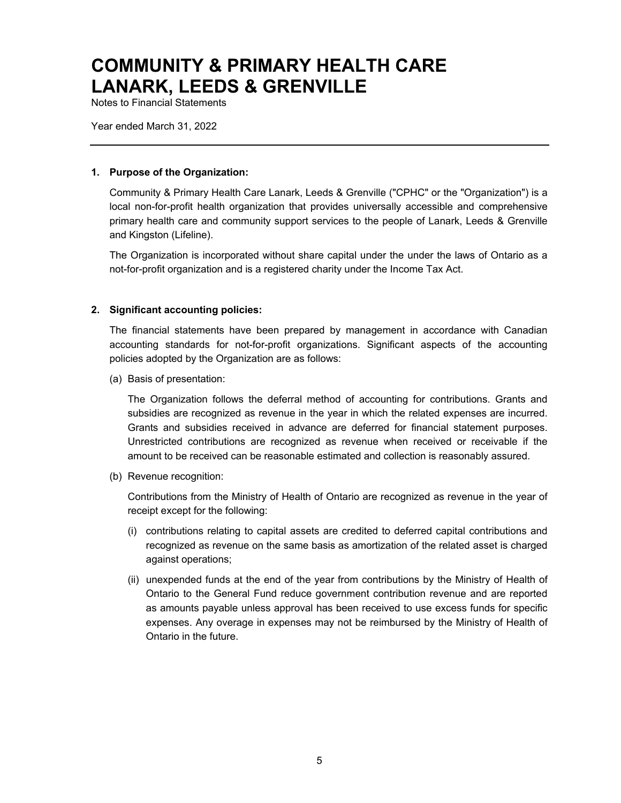Notes to Financial Statements

Year ended March 31, 2022

#### **1. Purpose of the Organization:**

Community & Primary Health Care Lanark, Leeds & Grenville ("CPHC" or the "Organization") is a local non-for-profit health organization that provides universally accessible and comprehensive primary health care and community support services to the people of Lanark, Leeds & Grenville and Kingston (Lifeline).

The Organization is incorporated without share capital under the under the laws of Ontario as a not-for-profit organization and is a registered charity under the Income Tax Act.

#### **2. Significant accounting policies:**

The financial statements have been prepared by management in accordance with Canadian accounting standards for not-for-profit organizations. Significant aspects of the accounting policies adopted by the Organization are as follows:

(a) Basis of presentation:

The Organization follows the deferral method of accounting for contributions. Grants and subsidies are recognized as revenue in the year in which the related expenses are incurred. Grants and subsidies received in advance are deferred for financial statement purposes. Unrestricted contributions are recognized as revenue when received or receivable if the amount to be received can be reasonable estimated and collection is reasonably assured.

(b) Revenue recognition:

Contributions from the Ministry of Health of Ontario are recognized as revenue in the year of receipt except for the following:

- (i) contributions relating to capital assets are credited to deferred capital contributions and recognized as revenue on the same basis as amortization of the related asset is charged against operations;
- (ii) unexpended funds at the end of the year from contributions by the Ministry of Health of Ontario to the General Fund reduce government contribution revenue and are reported as amounts payable unless approval has been received to use excess funds for specific expenses. Any overage in expenses may not be reimbursed by the Ministry of Health of Ontario in the future.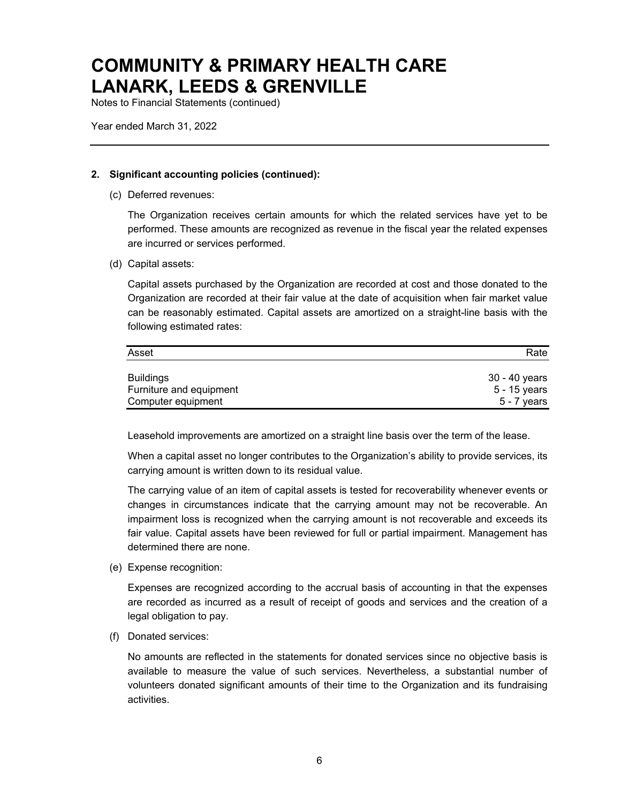Notes to Financial Statements (continued)

Year ended March 31, 2022

#### **2. Significant accounting policies (continued):**

(c) Deferred revenues:

The Organization receives certain amounts for which the related services have yet to be performed. These amounts are recognized as revenue in the fiscal year the related expenses are incurred or services performed.

(d) Capital assets:

Capital assets purchased by the Organization are recorded at cost and those donated to the Organization are recorded at their fair value at the date of acquisition when fair market value can be reasonably estimated. Capital assets are amortized on a straight-line basis with the following estimated rates:

| Asset                   | Rate          |
|-------------------------|---------------|
| <b>Buildings</b>        | 30 - 40 years |
| Furniture and equipment | 5 - 15 years  |
| Computer equipment      | 5 - 7 years   |

Leasehold improvements are amortized on a straight line basis over the term of the lease.

When a capital asset no longer contributes to the Organization's ability to provide services, its carrying amount is written down to its residual value.

The carrying value of an item of capital assets is tested for recoverability whenever events or changes in circumstances indicate that the carrying amount may not be recoverable. An impairment loss is recognized when the carrying amount is not recoverable and exceeds its fair value. Capital assets have been reviewed for full or partial impairment. Management has determined there are none.

(e) Expense recognition:

Expenses are recognized according to the accrual basis of accounting in that the expenses are recorded as incurred as a result of receipt of goods and services and the creation of a legal obligation to pay.

(f) Donated services:

No amounts are reflected in the statements for donated services since no objective basis is available to measure the value of such services. Nevertheless, a substantial number of volunteers donated significant amounts of their time to the Organization and its fundraising activities.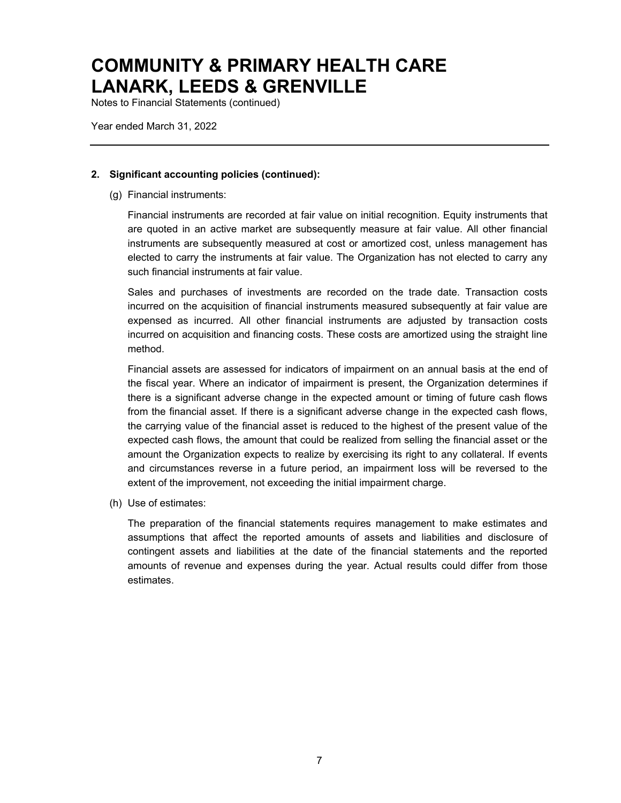Notes to Financial Statements (continued)

Year ended March 31, 2022

#### **2. Significant accounting policies (continued):**

(g) Financial instruments:

Financial instruments are recorded at fair value on initial recognition. Equity instruments that are quoted in an active market are subsequently measure at fair value. All other financial instruments are subsequently measured at cost or amortized cost, unless management has elected to carry the instruments at fair value. The Organization has not elected to carry any such financial instruments at fair value.

Sales and purchases of investments are recorded on the trade date. Transaction costs incurred on the acquisition of financial instruments measured subsequently at fair value are expensed as incurred. All other financial instruments are adjusted by transaction costs incurred on acquisition and financing costs. These costs are amortized using the straight line method.

Financial assets are assessed for indicators of impairment on an annual basis at the end of the fiscal year. Where an indicator of impairment is present, the Organization determines if there is a significant adverse change in the expected amount or timing of future cash flows from the financial asset. If there is a significant adverse change in the expected cash flows, the carrying value of the financial asset is reduced to the highest of the present value of the expected cash flows, the amount that could be realized from selling the financial asset or the amount the Organization expects to realize by exercising its right to any collateral. If events and circumstances reverse in a future period, an impairment loss will be reversed to the extent of the improvement, not exceeding the initial impairment charge.

(h) Use of estimates:

The preparation of the financial statements requires management to make estimates and assumptions that affect the reported amounts of assets and liabilities and disclosure of contingent assets and liabilities at the date of the financial statements and the reported amounts of revenue and expenses during the year. Actual results could differ from those estimates.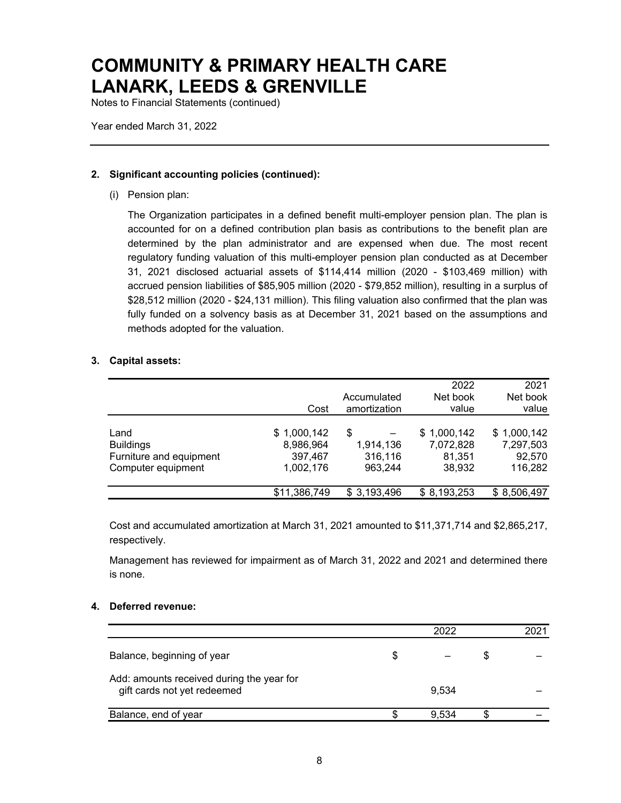Notes to Financial Statements (continued)

Year ended March 31, 2022

#### **2. Significant accounting policies (continued):**

(i) Pension plan:

The Organization participates in a defined benefit multi-employer pension plan. The plan is accounted for on a defined contribution plan basis as contributions to the benefit plan are determined by the plan administrator and are expensed when due. The most recent regulatory funding valuation of this multi-employer pension plan conducted as at December 31, 2021 disclosed actuarial assets of \$114,414 million (2020 - \$103,469 million) with accrued pension liabilities of \$85,905 million (2020 - \$79,852 million), resulting in a surplus of \$28,512 million (2020 - \$24,131 million). This filing valuation also confirmed that the plan was fully funded on a solvency basis as at December 31, 2021 based on the assumptions and methods adopted for the valuation.

#### **3. Capital assets:**

|                                                                           | Cost                                             | Accumulated<br>amortization           | 2022<br>Net book<br>value                    | 2021<br>Net book<br>value                     |
|---------------------------------------------------------------------------|--------------------------------------------------|---------------------------------------|----------------------------------------------|-----------------------------------------------|
| Land<br><b>Buildings</b><br>Furniture and equipment<br>Computer equipment | \$1,000,142<br>8,986,964<br>397,467<br>1,002,176 | \$<br>1,914,136<br>316,116<br>963.244 | \$1,000,142<br>7,072,828<br>81,351<br>38,932 | \$1,000,142<br>7,297,503<br>92,570<br>116,282 |
|                                                                           | \$11,386,749                                     | \$3,193,496                           | \$8,193,253                                  | \$8,506,497                                   |

Cost and accumulated amortization at March 31, 2021 amounted to \$11,371,714 and \$2,865,217, respectively.

Management has reviewed for impairment as of March 31, 2022 and 2021 and determined there is none.

#### **4. Deferred revenue:**

|                                                                          |   | 2022  | 2021 |
|--------------------------------------------------------------------------|---|-------|------|
| Balance, beginning of year                                               | S |       | \$   |
| Add: amounts received during the year for<br>gift cards not yet redeemed |   | 9,534 |      |
| Balance, end of year                                                     |   | 9.534 |      |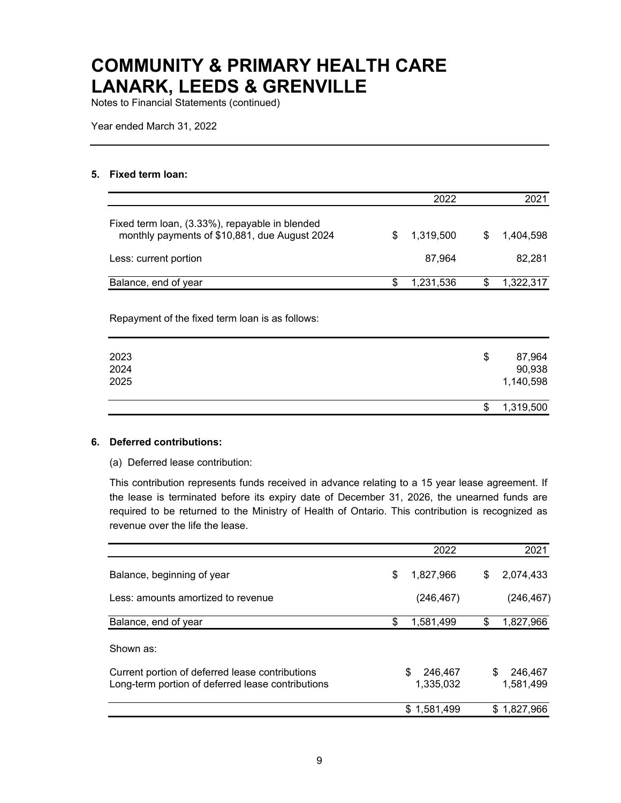Notes to Financial Statements (continued)

Year ended March 31, 2022

#### **5. Fixed term loan:**

|                                                                                                 | 2022            | 2021                                |
|-------------------------------------------------------------------------------------------------|-----------------|-------------------------------------|
| Fixed term loan, (3.33%), repayable in blended<br>monthly payments of \$10,881, due August 2024 | \$<br>1,319,500 | \$<br>1,404,598                     |
| Less: current portion                                                                           | 87,964          | 82,281                              |
| Balance, end of year                                                                            | \$<br>1,231,536 | \$<br>1,322,317                     |
| Repayment of the fixed term loan is as follows:                                                 |                 |                                     |
| 2023<br>2024<br>2025                                                                            |                 | \$<br>87,964<br>90,938<br>1,140,598 |

#### **6. Deferred contributions:**

(a) Deferred lease contribution:

This contribution represents funds received in advance relating to a 15 year lease agreement. If the lease is terminated before its expiry date of December 31, 2026, the unearned funds are required to be returned to the Ministry of Health of Ontario. This contribution is recognized as revenue over the life the lease.

\$ 1,319,500

|                                                                                                      | 2022                       |    | 2021                 |
|------------------------------------------------------------------------------------------------------|----------------------------|----|----------------------|
| Balance, beginning of year                                                                           | \$<br>1,827,966            | \$ | 2,074,433            |
| Less: amounts amortized to revenue                                                                   | (246, 467)                 |    | (246, 467)           |
| Balance, end of year                                                                                 | \$<br>1,581,499            | \$ | 1,827,966            |
| Shown as:                                                                                            |                            |    |                      |
| Current portion of deferred lease contributions<br>Long-term portion of deferred lease contributions | \$<br>246,467<br>1,335,032 | S  | 246,467<br>1,581,499 |
|                                                                                                      | \$1,581,499                |    | \$1,827,966          |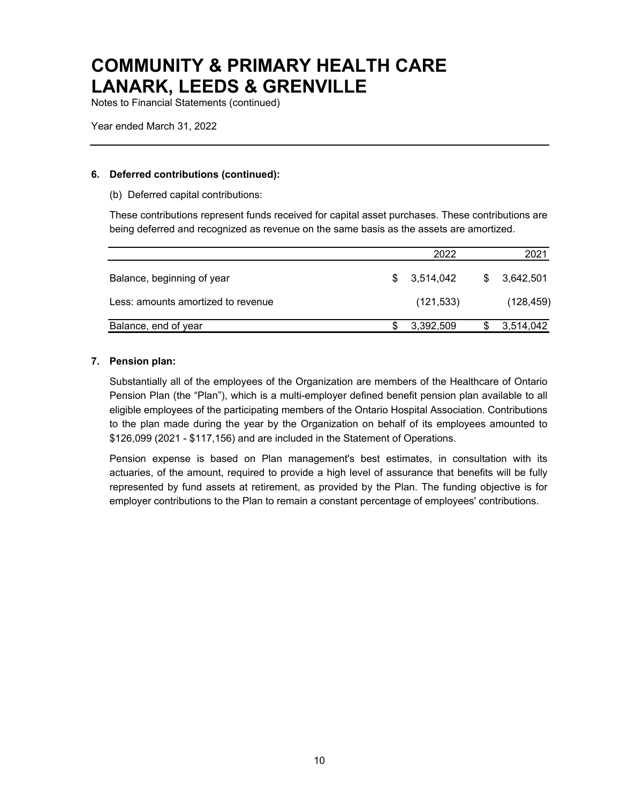Notes to Financial Statements (continued)

Year ended March 31, 2022

#### **6. Deferred contributions (continued):**

#### (b) Deferred capital contributions:

These contributions represent funds received for capital asset purchases. These contributions are being deferred and recognized as revenue on the same basis as the assets are amortized.

|                                    | 2022        | 2021        |
|------------------------------------|-------------|-------------|
| Balance, beginning of year         | \$3,514,042 | \$3,642,501 |
| Less: amounts amortized to revenue | (121, 533)  | (128, 459)  |
| Balance, end of year               | 3,392,509   | 3,514,042   |

#### **7. Pension plan:**

Substantially all of the employees of the Organization are members of the Healthcare of Ontario Pension Plan (the "Plan"), which is a multi-employer defined benefit pension plan available to all eligible employees of the participating members of the Ontario Hospital Association. Contributions to the plan made during the year by the Organization on behalf of its employees amounted to \$126,099 (2021 - \$117,156) and are included in the Statement of Operations.

Pension expense is based on Plan management's best estimates, in consultation with its actuaries, of the amount, required to provide a high level of assurance that benefits will be fully represented by fund assets at retirement, as provided by the Plan. The funding objective is for employer contributions to the Plan to remain a constant percentage of employees' contributions.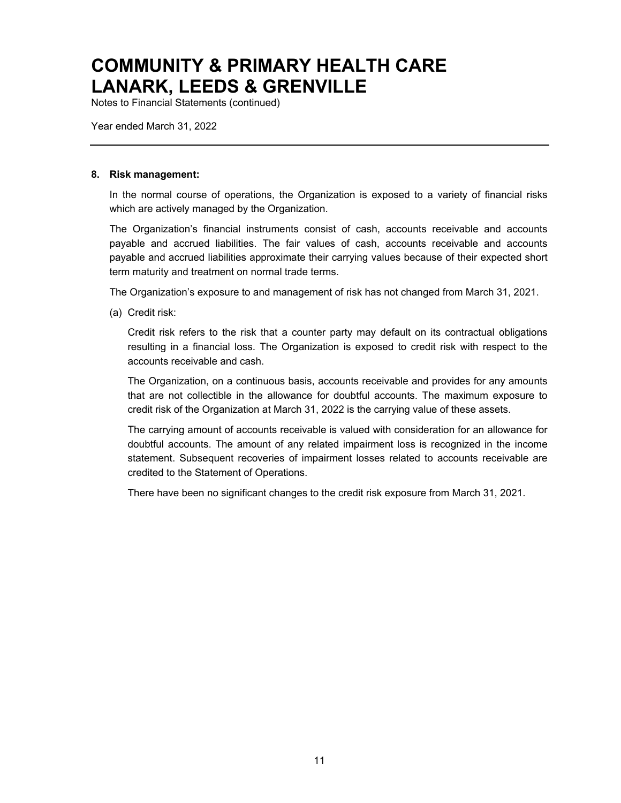Notes to Financial Statements (continued)

Year ended March 31, 2022

#### **8. Risk management:**

In the normal course of operations, the Organization is exposed to a variety of financial risks which are actively managed by the Organization.

The Organization's financial instruments consist of cash, accounts receivable and accounts payable and accrued liabilities. The fair values of cash, accounts receivable and accounts payable and accrued liabilities approximate their carrying values because of their expected short term maturity and treatment on normal trade terms.

The Organization's exposure to and management of risk has not changed from March 31, 2021.

(a) Credit risk:

Credit risk refers to the risk that a counter party may default on its contractual obligations resulting in a financial loss. The Organization is exposed to credit risk with respect to the accounts receivable and cash.

The Organization, on a continuous basis, accounts receivable and provides for any amounts that are not collectible in the allowance for doubtful accounts. The maximum exposure to credit risk of the Organization at March 31, 2022 is the carrying value of these assets.

The carrying amount of accounts receivable is valued with consideration for an allowance for doubtful accounts. The amount of any related impairment loss is recognized in the income statement. Subsequent recoveries of impairment losses related to accounts receivable are credited to the Statement of Operations.

There have been no significant changes to the credit risk exposure from March 31, 2021.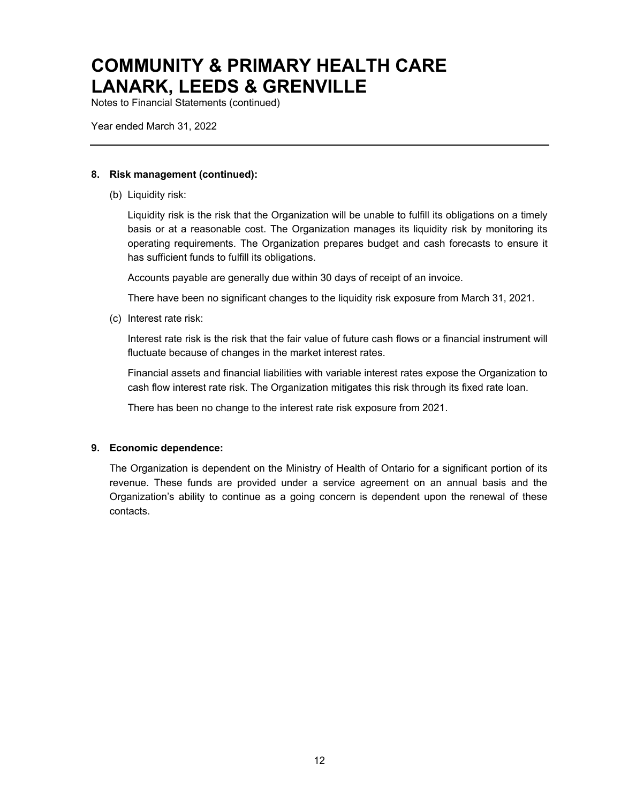Notes to Financial Statements (continued)

Year ended March 31, 2022

#### **8. Risk management (continued):**

(b) Liquidity risk:

Liquidity risk is the risk that the Organization will be unable to fulfill its obligations on a timely basis or at a reasonable cost. The Organization manages its liquidity risk by monitoring its operating requirements. The Organization prepares budget and cash forecasts to ensure it has sufficient funds to fulfill its obligations.

Accounts payable are generally due within 30 days of receipt of an invoice.

There have been no significant changes to the liquidity risk exposure from March 31, 2021.

(c) Interest rate risk:

Interest rate risk is the risk that the fair value of future cash flows or a financial instrument will fluctuate because of changes in the market interest rates.

Financial assets and financial liabilities with variable interest rates expose the Organization to cash flow interest rate risk. The Organization mitigates this risk through its fixed rate loan.

There has been no change to the interest rate risk exposure from 2021.

#### **9. Economic dependence:**

The Organization is dependent on the Ministry of Health of Ontario for a significant portion of its revenue. These funds are provided under a service agreement on an annual basis and the Organization's ability to continue as a going concern is dependent upon the renewal of these contacts.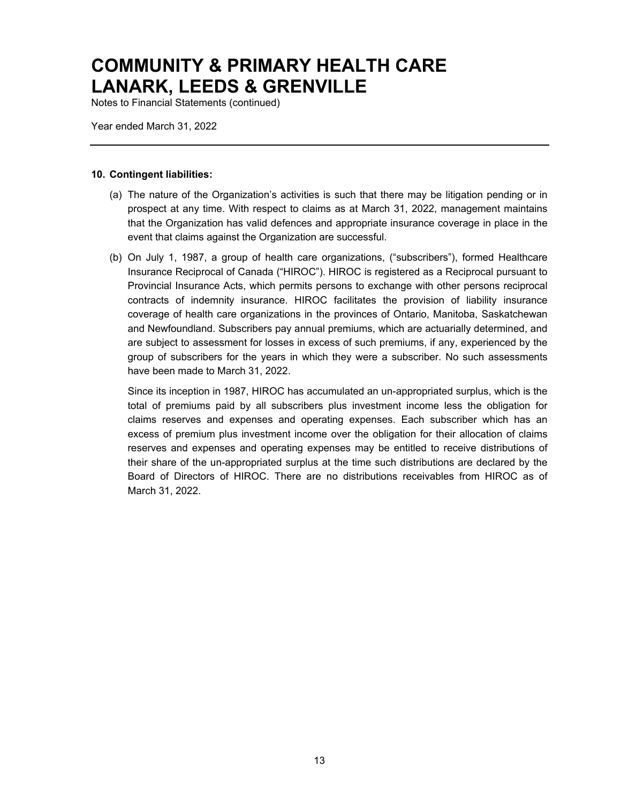Notes to Financial Statements (continued)

Year ended March 31, 2022

#### **10. Contingent liabilities:**

- (a) The nature of the Organization's activities is such that there may be litigation pending or in prospect at any time. With respect to claims as at March 31, 2022, management maintains that the Organization has valid defences and appropriate insurance coverage in place in the event that claims against the Organization are successful.
- (b) On July 1, 1987, a group of health care organizations, ("subscribers"), formed Healthcare Insurance Reciprocal of Canada ("HIROC"). HIROC is registered as a Reciprocal pursuant to Provincial Insurance Acts, which permits persons to exchange with other persons reciprocal contracts of indemnity insurance. HIROC facilitates the provision of liability insurance coverage of health care organizations in the provinces of Ontario, Manitoba, Saskatchewan and Newfoundland. Subscribers pay annual premiums, which are actuarially determined, and are subject to assessment for losses in excess of such premiums, if any, experienced by the group of subscribers for the years in which they were a subscriber. No such assessments have been made to March 31, 2022.

Since its inception in 1987, HIROC has accumulated an un-appropriated surplus, which is the total of premiums paid by all subscribers plus investment income less the obligation for claims reserves and expenses and operating expenses. Each subscriber which has an excess of premium plus investment income over the obligation for their allocation of claims reserves and expenses and operating expenses may be entitled to receive distributions of their share of the un-appropriated surplus at the time such distributions are declared by the Board of Directors of HIROC. There are no distributions receivables from HIROC as of March 31, 2022.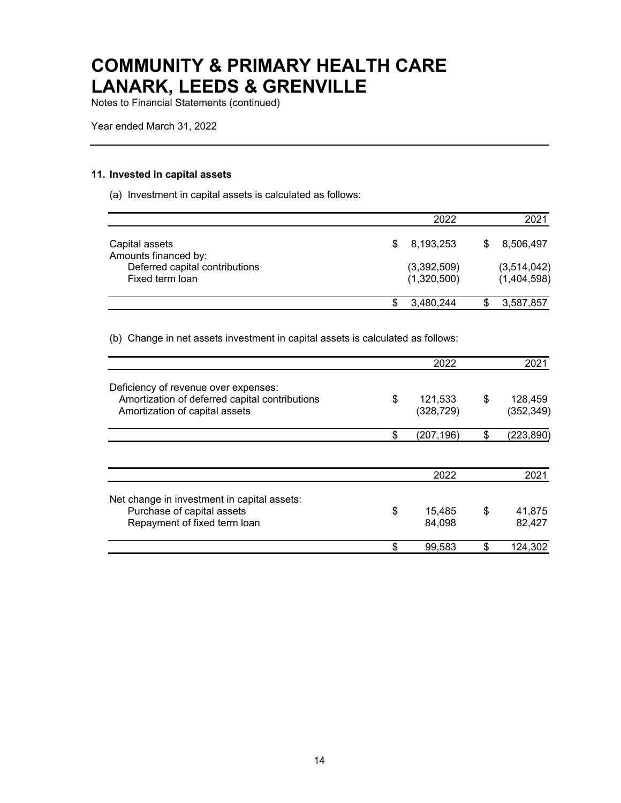Notes to Financial Statements (continued)

Year ended March 31, 2022

#### **11. Invested in capital assets**

(a) Investment in capital assets is calculated as follows:

|                                        |   | 2022        | 2021        |
|----------------------------------------|---|-------------|-------------|
| Capital assets<br>Amounts financed by: | S | 8,193,253   | 8,506,497   |
| Deferred capital contributions         |   | (3,392,509) | (3,514,042) |
| Fixed term loan                        |   | (1,320,500) | (1,404,598) |
|                                        |   | 3.480.244   | 3,587,857   |

(b) Change in net assets investment in capital assets is calculated as follows:

|                                                                                                                          | 2022                        | 2021                        |
|--------------------------------------------------------------------------------------------------------------------------|-----------------------------|-----------------------------|
| Deficiency of revenue over expenses:<br>Amortization of deferred capital contributions<br>Amortization of capital assets | \$<br>121,533<br>(328, 729) | \$<br>128,459<br>(352, 349) |
|                                                                                                                          | \$<br>(207,196)             | \$<br>(223,890)             |
|                                                                                                                          |                             |                             |
|                                                                                                                          | 2022                        | 2021                        |
| Net change in investment in capital assets:<br>Purchase of capital assets                                                | \$<br>15,485                | \$<br>41,875                |
| Repayment of fixed term loan                                                                                             | 84,098                      | 82,427                      |
|                                                                                                                          | \$<br>99,583                | \$<br>124,302               |